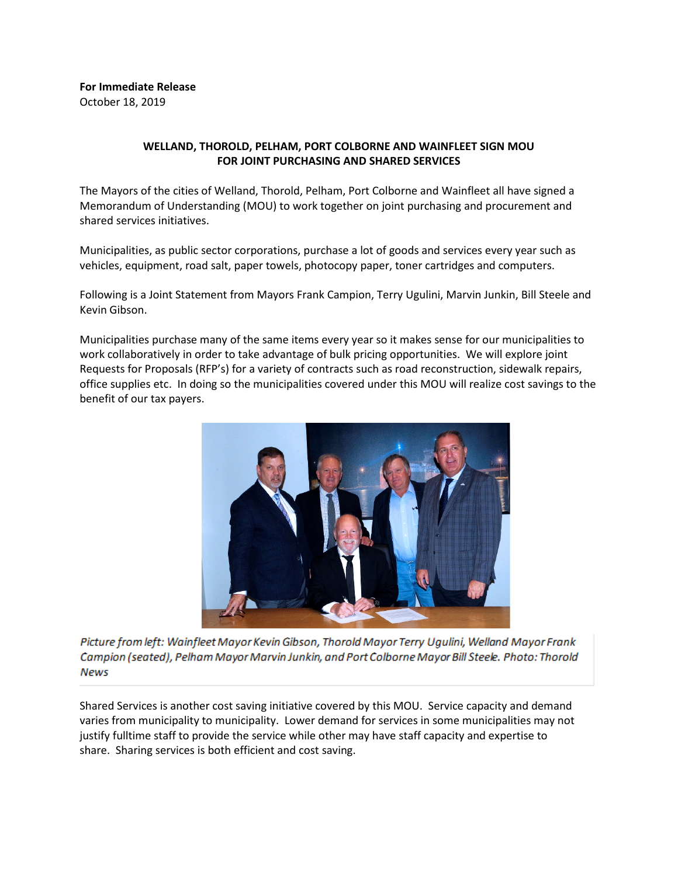## **For Immediate Release** October 18, 2019

# **WELLAND, THOROLD, PELHAM, PORT COLBORNE AND WAINFLEET SIGN MOU FOR JOINT PURCHASING AND SHARED SERVICES**

The Mayors of the cities of Welland, Thorold, Pelham, Port Colborne and Wainfleet all have signed a Memorandum of Understanding (MOU) to work together on joint purchasing and procurement and shared services initiatives.

Municipalities, as public sector corporations, purchase a lot of goods and services every year such as vehicles, equipment, road salt, paper towels, photocopy paper, toner cartridges and computers.

Following is a Joint Statement from Mayors Frank Campion, Terry Ugulini, Marvin Junkin, Bill Steele and Kevin Gibson.

Municipalities purchase many of the same items every year so it makes sense for our municipalities to work collaboratively in order to take advantage of bulk pricing opportunities. We will explore joint Requests for Proposals (RFP's) for a variety of contracts such as road reconstruction, sidewalk repairs, office supplies etc. In doing so the municipalities covered under this MOU will realize cost savings to the benefit of our tax payers.



Picture from left: Wainfleet Mayor Kevin Gibson, Thorold Mayor Terry Ugulini, Welland Mayor Frank Campion (seated), Pelham Mayor Marvin Junkin, and Port Colborne Mayor Bill Steele. Photo: Thorold **News** 

Shared Services is another cost saving initiative covered by this MOU. Service capacity and demand varies from municipality to municipality. Lower demand for services in some municipalities may not justify fulltime staff to provide the service while other may have staff capacity and expertise to share. Sharing services is both efficient and cost saving.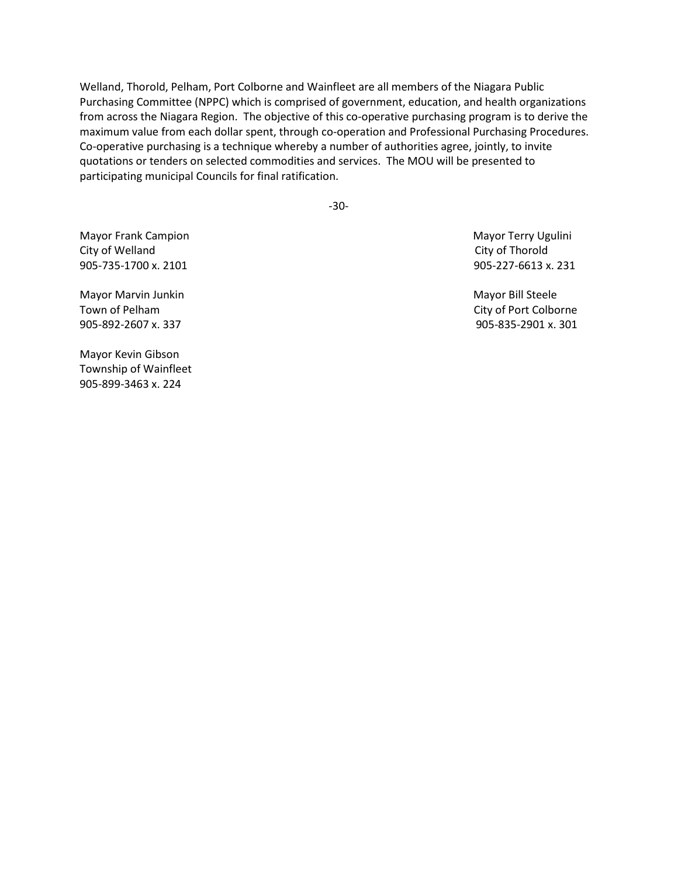Welland, Thorold, Pelham, Port Colborne and Wainfleet are all members of the Niagara Public Purchasing Committee (NPPC) which is comprised of government, education, and health organizations from across the Niagara Region. The objective of this co-operative purchasing program is to derive the maximum value from each dollar spent, through co-operation and Professional Purchasing Procedures. Co-operative purchasing is a technique whereby a number of authorities agree, jointly, to invite quotations or tenders on selected commodities and services. The MOU will be presented to participating municipal Councils for final ratification.

-30-

Mayor Frank Campion Mayor Terry Ugulini City of Welland City of Thorold 905-735-1700 x. 2101 905-227-6613 x. 231

Mayor Marvin Junkin Mayor Bill Steele Town of Pelham City of Port Colborne 905-892-2607 x. 337 905-835-2901 x. 301

Mayor Kevin Gibson Township of Wainfleet 905-899-3463 x. 224